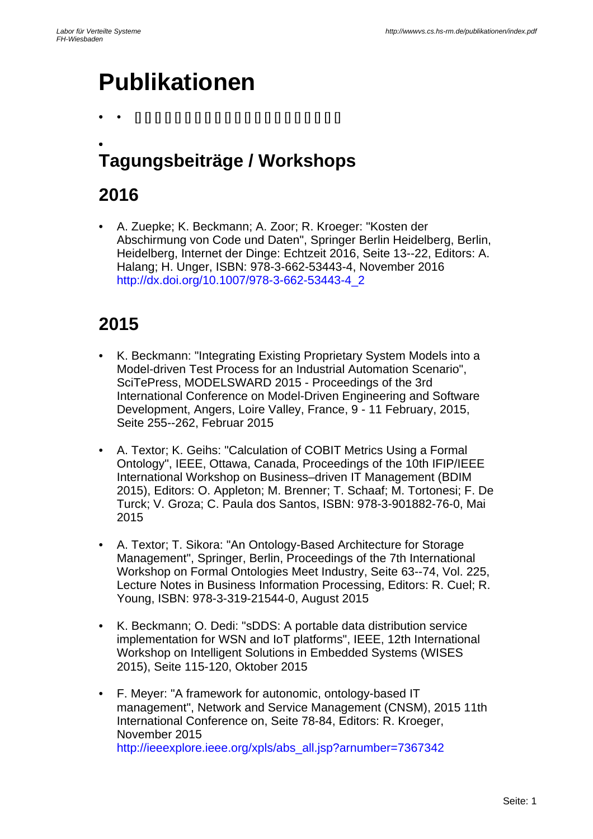# **Publikationen**

• • [] [] [] [] [] [] [] [] [] [] [] [] [] [] [] [] [] [] [] [] []

#### • **Tagungsbeiträge / Workshops**

### **2016**

• A. Zuepke; K. Beckmann; A. Zoor; R. Kroeger: "Kosten der Abschirmung von Code und Daten", Springer Berlin Heidelberg, Berlin, Heidelberg, Internet der Dinge: Echtzeit 2016, Seite 13--22, Editors: A. Halang; H. Unger, ISBN: 978-3-662-53443-4, November 2016 http://dx.doi.org/10.1007/978-3-662-53443-4\_2

- K. Beckmann: "Integrating Existing Proprietary System Models into a Model-driven Test Process for an Industrial Automation Scenario", SciTePress, MODELSWARD 2015 - Proceedings of the 3rd International Conference on Model-Driven Engineering and Software Development, Angers, Loire Valley, France, 9 - 11 February, 2015, Seite 255--262, Februar 2015
- A. Textor; K. Geihs: "Calculation of COBIT Metrics Using a Formal Ontology", IEEE, Ottawa, Canada, Proceedings of the 10th IFIP/IEEE International Workshop on Business–driven IT Management (BDIM 2015), Editors: O. Appleton; M. Brenner; T. Schaaf; M. Tortonesi; F. De Turck; V. Groza; C. Paula dos Santos, ISBN: 978-3-901882-76-0, Mai 2015
- A. Textor; T. Sikora: "An Ontology-Based Architecture for Storage Management", Springer, Berlin, Proceedings of the 7th International Workshop on Formal Ontologies Meet Industry, Seite 63--74, Vol. 225, Lecture Notes in Business Information Processing, Editors: R. Cuel; R. Young, ISBN: 978-3-319-21544-0, August 2015
- K. Beckmann; O. Dedi: "sDDS: A portable data distribution service implementation for WSN and IoT platforms", IEEE, 12th International Workshop on Intelligent Solutions in Embedded Systems (WISES 2015), Seite 115-120, Oktober 2015
- F. Meyer: "A framework for autonomic, ontology-based IT management", Network and Service Management (CNSM), 2015 11th International Conference on, Seite 78-84, Editors: R. Kroeger, November 2015 http://ieeexplore.ieee.org/xpls/abs\_all.jsp?arnumber=7367342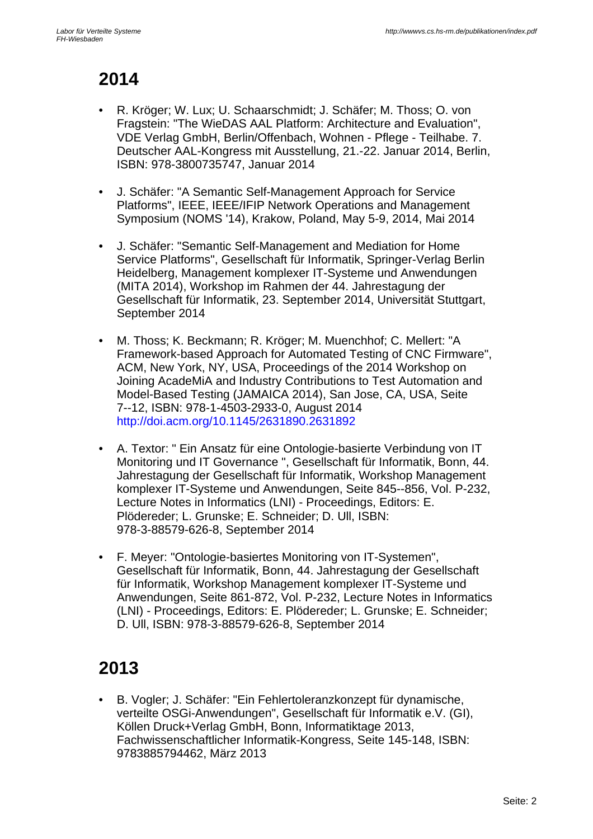### **2014**

- R. Kröger; W. Lux; U. Schaarschmidt; J. Schäfer; M. Thoss; O. von Fragstein: "The WieDAS AAL Platform: Architecture and Evaluation", VDE Verlag GmbH, Berlin/Offenbach, Wohnen - Pflege - Teilhabe. 7. Deutscher AAL-Kongress mit Ausstellung, 21.-22. Januar 2014, Berlin, ISBN: 978-3800735747, Januar 2014
- J. Schäfer: "A Semantic Self-Management Approach for Service Platforms", IEEE, IEEE/IFIP Network Operations and Management Symposium (NOMS '14), Krakow, Poland, May 5-9, 2014, Mai 2014
- J. Schäfer: "Semantic Self-Management and Mediation for Home Service Platforms", Gesellschaft für Informatik, Springer-Verlag Berlin Heidelberg, Management komplexer IT-Systeme und Anwendungen (MITA 2014), Workshop im Rahmen der 44. Jahrestagung der Gesellschaft für Informatik, 23. September 2014, Universität Stuttgart, September 2014
- M. Thoss; K. Beckmann; R. Kröger; M. Muenchhof; C. Mellert: "A Framework-based Approach for Automated Testing of CNC Firmware", ACM, New York, NY, USA, Proceedings of the 2014 Workshop on Joining AcadeMiA and Industry Contributions to Test Automation and Model-Based Testing (JAMAICA 2014), San Jose, CA, USA, Seite 7--12, ISBN: 978-1-4503-2933-0, August 2014 http://doi.acm.org/10.1145/2631890.2631892
- A. Textor: " Ein Ansatz für eine Ontologie-basierte Verbindung von IT Monitoring und IT Governance ", Gesellschaft für Informatik, Bonn, 44. Jahrestagung der Gesellschaft für Informatik, Workshop Management komplexer IT-Systeme und Anwendungen, Seite 845--856, Vol. P-232, Lecture Notes in Informatics (LNI) - Proceedings, Editors: E. Plödereder; L. Grunske; E. Schneider; D. Ull, ISBN: 978-3-88579-626-8, September 2014
- F. Meyer: "Ontologie-basiertes Monitoring von IT-Systemen", Gesellschaft für Informatik, Bonn, 44. Jahrestagung der Gesellschaft für Informatik, Workshop Management komplexer IT-Systeme und Anwendungen, Seite 861-872, Vol. P-232, Lecture Notes in Informatics (LNI) - Proceedings, Editors: E. Plödereder; L. Grunske; E. Schneider; D. Ull, ISBN: 978-3-88579-626-8, September 2014

## **2013**

• B. Vogler; J. Schäfer: "Ein Fehlertoleranzkonzept für dynamische, verteilte OSGi-Anwendungen", Gesellschaft für Informatik e.V. (GI), Köllen Druck+Verlag GmbH, Bonn, Informatiktage 2013, Fachwissenschaftlicher Informatik-Kongress, Seite 145-148, ISBN: 9783885794462, März 2013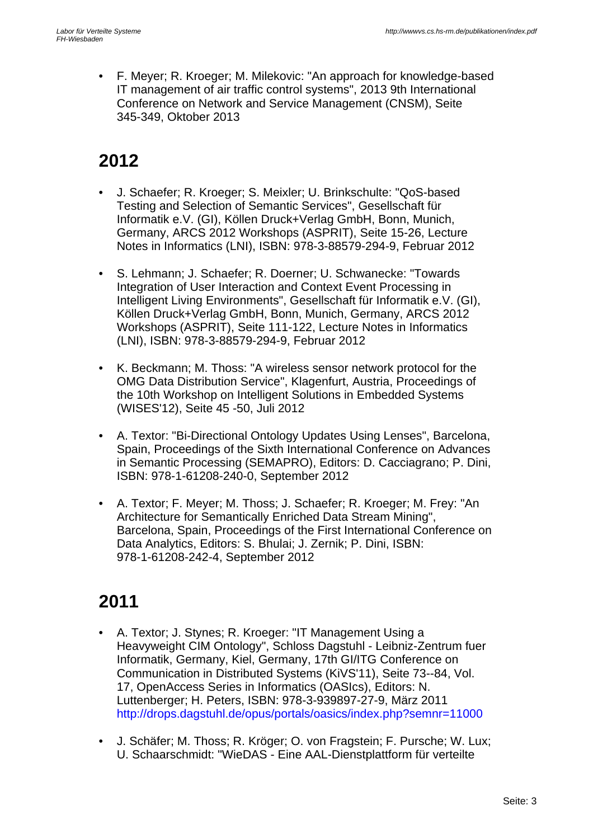• F. Meyer; R. Kroeger; M. Milekovic: "An approach for knowledge-based IT management of air traffic control systems", 2013 9th International Conference on Network and Service Management (CNSM), Seite 345-349, Oktober 2013

### **2012**

- J. Schaefer; R. Kroeger; S. Meixler; U. Brinkschulte: "QoS-based Testing and Selection of Semantic Services", Gesellschaft für Informatik e.V. (GI), Köllen Druck+Verlag GmbH, Bonn, Munich, Germany, ARCS 2012 Workshops (ASPRIT), Seite 15-26, Lecture Notes in Informatics (LNI), ISBN: 978-3-88579-294-9, Februar 2012
- S. Lehmann; J. Schaefer; R. Doerner; U. Schwanecke: "Towards Integration of User Interaction and Context Event Processing in Intelligent Living Environments", Gesellschaft für Informatik e.V. (GI), Köllen Druck+Verlag GmbH, Bonn, Munich, Germany, ARCS 2012 Workshops (ASPRIT), Seite 111-122, Lecture Notes in Informatics (LNI), ISBN: 978-3-88579-294-9, Februar 2012
- K. Beckmann; M. Thoss: "A wireless sensor network protocol for the OMG Data Distribution Service", Klagenfurt, Austria, Proceedings of the 10th Workshop on Intelligent Solutions in Embedded Systems (WISES'12), Seite 45 -50, Juli 2012
- A. Textor: "Bi-Directional Ontology Updates Using Lenses", Barcelona, Spain, Proceedings of the Sixth International Conference on Advances in Semantic Processing (SEMAPRO), Editors: D. Cacciagrano; P. Dini, ISBN: 978-1-61208-240-0, September 2012
- A. Textor; F. Meyer; M. Thoss; J. Schaefer; R. Kroeger; M. Frey: "An Architecture for Semantically Enriched Data Stream Mining", Barcelona, Spain, Proceedings of the First International Conference on Data Analytics, Editors: S. Bhulai; J. Zernik; P. Dini, ISBN: 978-1-61208-242-4, September 2012

- A. Textor; J. Stynes; R. Kroeger: "IT Management Using a Heavyweight CIM Ontology", Schloss Dagstuhl - Leibniz-Zentrum fuer Informatik, Germany, Kiel, Germany, 17th GI/ITG Conference on Communication in Distributed Systems (KiVS'11), Seite 73--84, Vol. 17, OpenAccess Series in Informatics (OASIcs), Editors: N. Luttenberger; H. Peters, ISBN: 978-3-939897-27-9, März 2011 http://drops.dagstuhl.de/opus/portals/oasics/index.php?semnr=11000
- J. Schäfer; M. Thoss; R. Kröger; O. von Fragstein; F. Pursche; W. Lux; U. Schaarschmidt: "WieDAS - Eine AAL-Dienstplattform für verteilte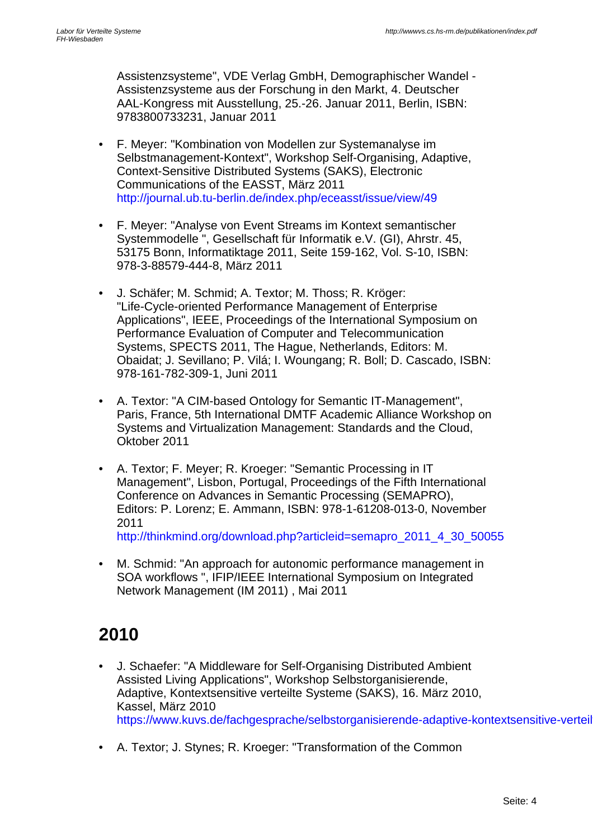Assistenzsysteme", VDE Verlag GmbH, Demographischer Wandel - Assistenzsysteme aus der Forschung in den Markt, 4. Deutscher AAL-Kongress mit Ausstellung, 25.-26. Januar 2011, Berlin, ISBN: 9783800733231, Januar 2011

- F. Meyer: "Kombination von Modellen zur Systemanalyse im Selbstmanagement-Kontext", Workshop Self-Organising, Adaptive, Context-Sensitive Distributed Systems (SAKS), Electronic Communications of the EASST, März 2011 http://journal.ub.tu-berlin.de/index.php/eceasst/issue/view/49
- F. Meyer: "Analyse von Event Streams im Kontext semantischer Systemmodelle ", Gesellschaft für Informatik e.V. (GI), Ahrstr. 45, 53175 Bonn, Informatiktage 2011, Seite 159-162, Vol. S-10, ISBN: 978-3-88579-444-8, März 2011
- J. Schäfer; M. Schmid; A. Textor; M. Thoss; R. Kröger: "Life-Cycle-oriented Performance Management of Enterprise Applications", IEEE, Proceedings of the International Symposium on Performance Evaluation of Computer and Telecommunication Systems, SPECTS 2011, The Hague, Netherlands, Editors: M. Obaidat; J. Sevillano; P. Vilá; I. Woungang; R. Boll; D. Cascado, ISBN: 978-161-782-309-1, Juni 2011
- A. Textor: "A CIM-based Ontology for Semantic IT-Management", Paris, France, 5th International DMTF Academic Alliance Workshop on Systems and Virtualization Management: Standards and the Cloud, Oktober 2011
- A. Textor; F. Meyer; R. Kroeger: "Semantic Processing in IT Management", Lisbon, Portugal, Proceedings of the Fifth International Conference on Advances in Semantic Processing (SEMAPRO), Editors: P. Lorenz; E. Ammann, ISBN: 978-1-61208-013-0, November 2011 http://thinkmind.org/download.php?articleid=semapro\_2011\_4\_30\_50055
- M. Schmid: "An approach for autonomic performance management in
- SOA workflows ", IFIP/IEEE International Symposium on Integrated Network Management (IM 2011) , Mai 2011

- J. Schaefer: "A Middleware for Self-Organising Distributed Ambient Assisted Living Applications", Workshop Selbstorganisierende, Adaptive, Kontextsensitive verteilte Systeme (SAKS), 16. März 2010, Kassel, März 2010 https://www.kuvs.de/fachgesprache/selbstorganisierende-adaptive-kontextsensitive-verteil
- A. Textor; J. Stynes; R. Kroeger: "Transformation of the Common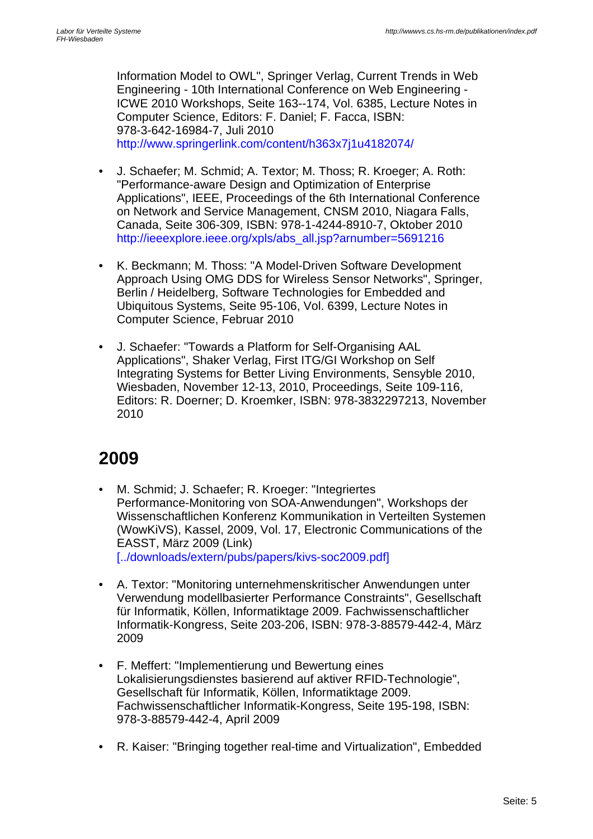Information Model to OWL", Springer Verlag, Current Trends in Web Engineering - 10th International Conference on Web Engineering - ICWE 2010 Workshops, Seite 163--174, Vol. 6385, Lecture Notes in Computer Science, Editors: F. Daniel; F. Facca, ISBN: 978-3-642-16984-7, Juli 2010 http://www.springerlink.com/content/h363x7j1u4182074/

- J. Schaefer; M. Schmid; A. Textor; M. Thoss; R. Kroeger; A. Roth: "Performance-aware Design and Optimization of Enterprise Applications", IEEE, Proceedings of the 6th International Conference on Network and Service Management, CNSM 2010, Niagara Falls, Canada, Seite 306-309, ISBN: 978-1-4244-8910-7, Oktober 2010 http://ieeexplore.ieee.org/xpls/abs\_all.jsp?arnumber=5691216
- K. Beckmann; M. Thoss: "A Model-Driven Software Development Approach Using OMG DDS for Wireless Sensor Networks", Springer, Berlin / Heidelberg, Software Technologies for Embedded and Ubiquitous Systems, Seite 95-106, Vol. 6399, Lecture Notes in Computer Science, Februar 2010
- J. Schaefer: "Towards a Platform for Self-Organising AAL Applications", Shaker Verlag, First ITG/GI Workshop on Self Integrating Systems for Better Living Environments, Sensyble 2010, Wiesbaden, November 12-13, 2010, Proceedings, Seite 109-116, Editors: R. Doerner; D. Kroemker, ISBN: 978-3832297213, November 2010

- M. Schmid; J. Schaefer; R. Kroeger: "Integriertes Performance-Monitoring von SOA-Anwendungen", Workshops der Wissenschaftlichen Konferenz Kommunikation in Verteilten Systemen (WowKiVS), Kassel, 2009, Vol. 17, Electronic Communications of the EASST, März 2009 (Link) [../downloads/extern/pubs/papers/kivs-soc2009.pdf]
- A. Textor: "Monitoring unternehmenskritischer Anwendungen unter Verwendung modellbasierter Performance Constraints", Gesellschaft für Informatik, Köllen, Informatiktage 2009. Fachwissenschaftlicher Informatik-Kongress, Seite 203-206, ISBN: 978-3-88579-442-4, März 2009
- F. Meffert: "Implementierung und Bewertung eines Lokalisierungsdienstes basierend auf aktiver RFID-Technologie", Gesellschaft für Informatik, Köllen, Informatiktage 2009. Fachwissenschaftlicher Informatik-Kongress, Seite 195-198, ISBN: 978-3-88579-442-4, April 2009
- R. Kaiser: "Bringing together real-time and Virtualization", Embedded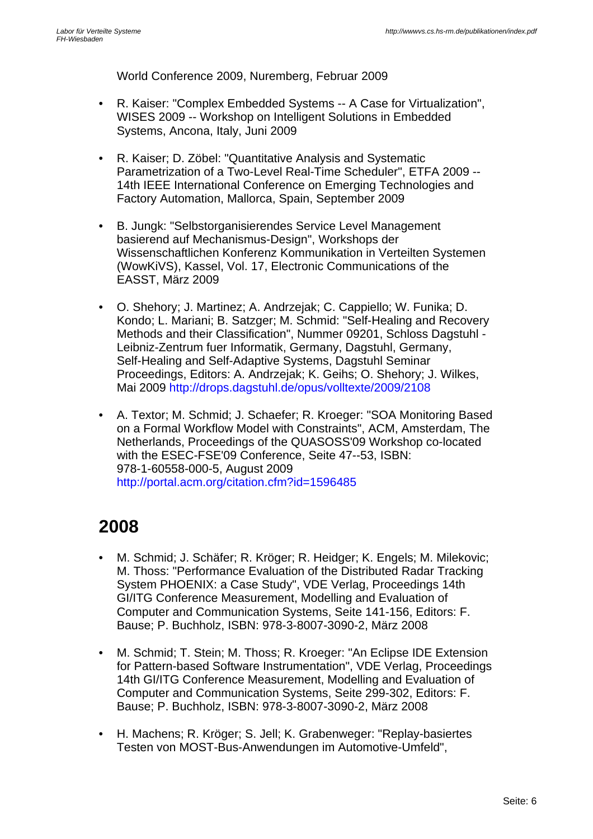World Conference 2009, Nuremberg, Februar 2009

- R. Kaiser: "Complex Embedded Systems -- A Case for Virtualization", WISES 2009 -- Workshop on Intelligent Solutions in Embedded Systems, Ancona, Italy, Juni 2009
- R. Kaiser; D. Zöbel: "Quantitative Analysis and Systematic Parametrization of a Two-Level Real-Time Scheduler", ETFA 2009 -- 14th IEEE International Conference on Emerging Technologies and Factory Automation, Mallorca, Spain, September 2009
- B. Jungk: "Selbstorganisierendes Service Level Management basierend auf Mechanismus-Design", Workshops der Wissenschaftlichen Konferenz Kommunikation in Verteilten Systemen (WowKiVS), Kassel, Vol. 17, Electronic Communications of the EASST, März 2009
- O. Shehory; J. Martinez; A. Andrzejak; C. Cappiello; W. Funika; D. Kondo; L. Mariani; B. Satzger; M. Schmid: "Self-Healing and Recovery Methods and their Classification", Nummer 09201, Schloss Dagstuhl - Leibniz-Zentrum fuer Informatik, Germany, Dagstuhl, Germany, Self-Healing and Self-Adaptive Systems, Dagstuhl Seminar Proceedings, Editors: A. Andrzejak; K. Geihs; O. Shehory; J. Wilkes, Mai 2009 http://drops.dagstuhl.de/opus/volltexte/2009/2108
- A. Textor; M. Schmid; J. Schaefer; R. Kroeger: "SOA Monitoring Based on a Formal Workflow Model with Constraints", ACM, Amsterdam, The Netherlands, Proceedings of the QUASOSS'09 Workshop co-located with the ESEC-FSE'09 Conference, Seite 47--53, ISBN: 978-1-60558-000-5, August 2009 http://portal.acm.org/citation.cfm?id=1596485

- M. Schmid; J. Schäfer; R. Kröger; R. Heidger; K. Engels; M. Milekovic; M. Thoss: "Performance Evaluation of the Distributed Radar Tracking System PHOENIX: a Case Study", VDE Verlag, Proceedings 14th GI/ITG Conference Measurement, Modelling and Evaluation of Computer and Communication Systems, Seite 141-156, Editors: F. Bause; P. Buchholz, ISBN: 978-3-8007-3090-2, März 2008
- M. Schmid; T. Stein; M. Thoss; R. Kroeger: "An Eclipse IDE Extension for Pattern-based Software Instrumentation", VDE Verlag, Proceedings 14th GI/ITG Conference Measurement, Modelling and Evaluation of Computer and Communication Systems, Seite 299-302, Editors: F. Bause; P. Buchholz, ISBN: 978-3-8007-3090-2, März 2008
- H. Machens; R. Kröger; S. Jell; K. Grabenweger: "Replay-basiertes Testen von MOST-Bus-Anwendungen im Automotive-Umfeld",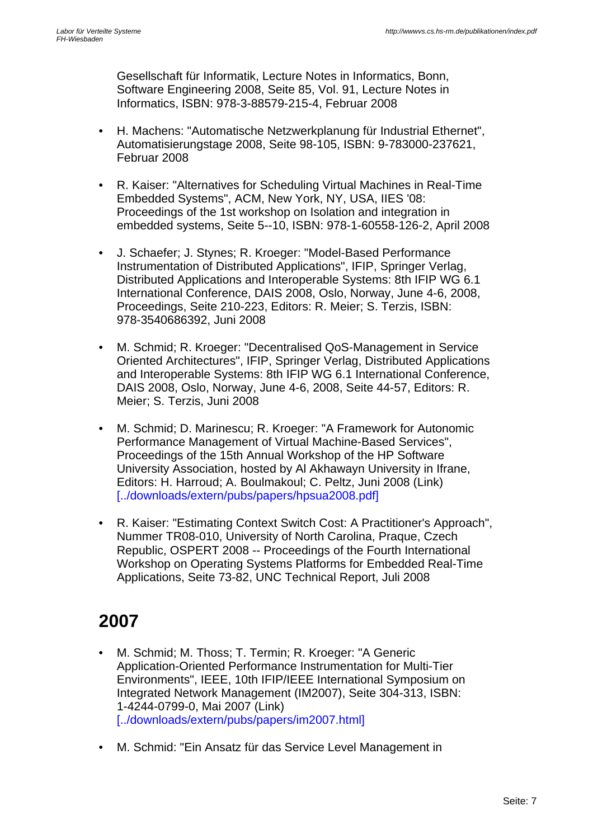Gesellschaft für Informatik, Lecture Notes in Informatics, Bonn, Software Engineering 2008, Seite 85, Vol. 91, Lecture Notes in Informatics, ISBN: 978-3-88579-215-4, Februar 2008

- H. Machens: "Automatische Netzwerkplanung für Industrial Ethernet", Automatisierungstage 2008, Seite 98-105, ISBN: 9-783000-237621, Februar 2008
- R. Kaiser: "Alternatives for Scheduling Virtual Machines in Real-Time Embedded Systems", ACM, New York, NY, USA, IIES '08: Proceedings of the 1st workshop on Isolation and integration in embedded systems, Seite 5--10, ISBN: 978-1-60558-126-2, April 2008
- J. Schaefer; J. Stynes; R. Kroeger: "Model-Based Performance Instrumentation of Distributed Applications", IFIP, Springer Verlag, Distributed Applications and Interoperable Systems: 8th IFIP WG 6.1 International Conference, DAIS 2008, Oslo, Norway, June 4-6, 2008, Proceedings, Seite 210-223, Editors: R. Meier; S. Terzis, ISBN: 978-3540686392, Juni 2008
- M. Schmid; R. Kroeger: "Decentralised QoS-Management in Service Oriented Architectures", IFIP, Springer Verlag, Distributed Applications and Interoperable Systems: 8th IFIP WG 6.1 International Conference, DAIS 2008, Oslo, Norway, June 4-6, 2008, Seite 44-57, Editors: R. Meier; S. Terzis, Juni 2008
- M. Schmid; D. Marinescu; R. Kroeger: "A Framework for Autonomic Performance Management of Virtual Machine-Based Services", Proceedings of the 15th Annual Workshop of the HP Software University Association, hosted by Al Akhawayn University in Ifrane, Editors: H. Harroud; A. Boulmakoul; C. Peltz, Juni 2008 (Link) [../downloads/extern/pubs/papers/hpsua2008.pdf]
- R. Kaiser: "Estimating Context Switch Cost: A Practitioner's Approach", Nummer TR08-010, University of North Carolina, Praque, Czech Republic, OSPERT 2008 -- Proceedings of the Fourth International Workshop on Operating Systems Platforms for Embedded Real-Time Applications, Seite 73-82, UNC Technical Report, Juli 2008

- M. Schmid; M. Thoss; T. Termin; R. Kroeger: "A Generic Application-Oriented Performance Instrumentation for Multi-Tier Environments", IEEE, 10th IFIP/IEEE International Symposium on Integrated Network Management (IM2007), Seite 304-313, ISBN: 1-4244-0799-0, Mai 2007 (Link) [../downloads/extern/pubs/papers/im2007.html]
- M. Schmid: "Ein Ansatz für das Service Level Management in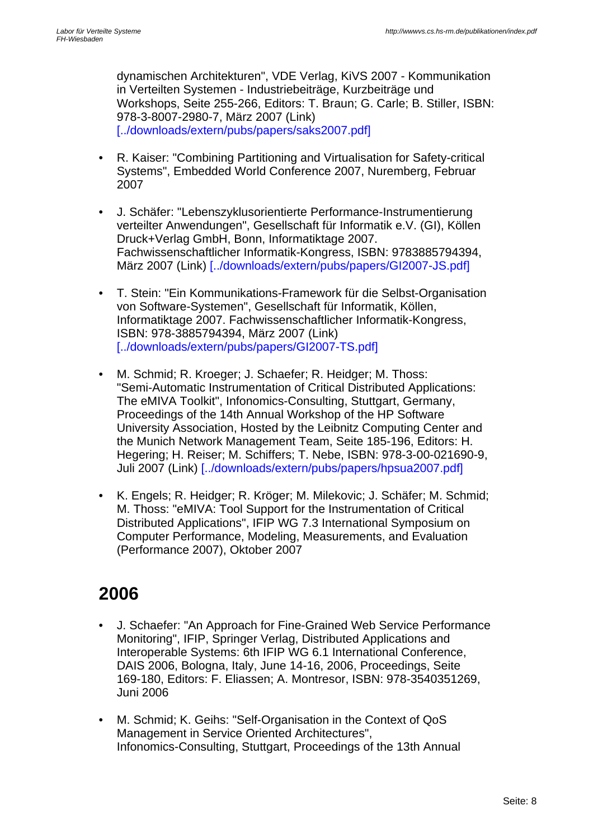dynamischen Architekturen", VDE Verlag, KiVS 2007 - Kommunikation in Verteilten Systemen - Industriebeiträge, Kurzbeiträge und Workshops, Seite 255-266, Editors: T. Braun; G. Carle; B. Stiller, ISBN: 978-3-8007-2980-7, März 2007 (Link) [../downloads/extern/pubs/papers/saks2007.pdf]

- R. Kaiser: "Combining Partitioning and Virtualisation for Safety-critical Systems", Embedded World Conference 2007, Nuremberg, Februar 2007
- J. Schäfer: "Lebenszyklusorientierte Performance-Instrumentierung verteilter Anwendungen", Gesellschaft für Informatik e.V. (GI), Köllen Druck+Verlag GmbH, Bonn, Informatiktage 2007. Fachwissenschaftlicher Informatik-Kongress, ISBN: 9783885794394, März 2007 (Link) [../downloads/extern/pubs/papers/GI2007-JS.pdf]
- T. Stein: "Ein Kommunikations-Framework für die Selbst-Organisation von Software-Systemen", Gesellschaft für Informatik, Köllen, Informatiktage 2007. Fachwissenschaftlicher Informatik-Kongress, ISBN: 978-3885794394, März 2007 (Link) [../downloads/extern/pubs/papers/GI2007-TS.pdf]
- M. Schmid; R. Kroeger; J. Schaefer; R. Heidger; M. Thoss: "Semi-Automatic Instrumentation of Critical Distributed Applications: The eMIVA Toolkit", Infonomics-Consulting, Stuttgart, Germany, Proceedings of the 14th Annual Workshop of the HP Software University Association, Hosted by the Leibnitz Computing Center and the Munich Network Management Team, Seite 185-196, Editors: H. Hegering; H. Reiser; M. Schiffers; T. Nebe, ISBN: 978-3-00-021690-9, Juli 2007 (Link) [../downloads/extern/pubs/papers/hpsua2007.pdf]
- K. Engels; R. Heidger; R. Kröger; M. Milekovic; J. Schäfer; M. Schmid; M. Thoss: "eMIVA: Tool Support for the Instrumentation of Critical Distributed Applications", IFIP WG 7.3 International Symposium on Computer Performance, Modeling, Measurements, and Evaluation (Performance 2007), Oktober 2007

- J. Schaefer: "An Approach for Fine-Grained Web Service Performance Monitoring", IFIP, Springer Verlag, Distributed Applications and Interoperable Systems: 6th IFIP WG 6.1 International Conference, DAIS 2006, Bologna, Italy, June 14-16, 2006, Proceedings, Seite 169-180, Editors: F. Eliassen; A. Montresor, ISBN: 978-3540351269, Juni 2006
- M. Schmid; K. Geihs: "Self-Organisation in the Context of QoS Management in Service Oriented Architectures", Infonomics-Consulting, Stuttgart, Proceedings of the 13th Annual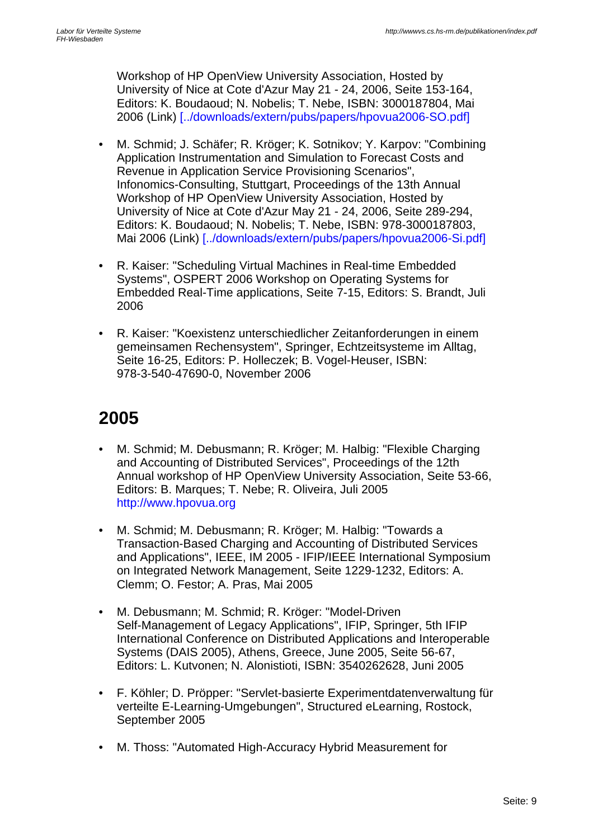Workshop of HP OpenView University Association, Hosted by University of Nice at Cote d'Azur May 21 - 24, 2006, Seite 153-164, Editors: K. Boudaoud; N. Nobelis; T. Nebe, ISBN: 3000187804, Mai 2006 (Link) [../downloads/extern/pubs/papers/hpovua2006-SO.pdf]

- M. Schmid; J. Schäfer; R. Kröger; K. Sotnikov; Y. Karpov: "Combining Application Instrumentation and Simulation to Forecast Costs and Revenue in Application Service Provisioning Scenarios", Infonomics-Consulting, Stuttgart, Proceedings of the 13th Annual Workshop of HP OpenView University Association, Hosted by University of Nice at Cote d'Azur May 21 - 24, 2006, Seite 289-294, Editors: K. Boudaoud; N. Nobelis; T. Nebe, ISBN: 978-3000187803, Mai 2006 (Link) [../downloads/extern/pubs/papers/hpovua2006-Si.pdf]
- R. Kaiser: "Scheduling Virtual Machines in Real-time Embedded Systems", OSPERT 2006 Workshop on Operating Systems for Embedded Real-Time applications, Seite 7-15, Editors: S. Brandt, Juli 2006
- R. Kaiser: "Koexistenz unterschiedlicher Zeitanforderungen in einem gemeinsamen Rechensystem", Springer, Echtzeitsysteme im Alltag, Seite 16-25, Editors: P. Holleczek; B. Vogel-Heuser, ISBN: 978-3-540-47690-0, November 2006

- M. Schmid; M. Debusmann; R. Kröger; M. Halbig: "Flexible Charging and Accounting of Distributed Services", Proceedings of the 12th Annual workshop of HP OpenView University Association, Seite 53-66, Editors: B. Marques; T. Nebe; R. Oliveira, Juli 2005 http://www.hpovua.org
- M. Schmid; M. Debusmann; R. Kröger; M. Halbig: "Towards a Transaction-Based Charging and Accounting of Distributed Services and Applications", IEEE, IM 2005 - IFIP/IEEE International Symposium on Integrated Network Management, Seite 1229-1232, Editors: A. Clemm; O. Festor; A. Pras, Mai 2005
- M. Debusmann; M. Schmid; R. Kröger: "Model-Driven Self-Management of Legacy Applications", IFIP, Springer, 5th IFIP International Conference on Distributed Applications and Interoperable Systems (DAIS 2005), Athens, Greece, June 2005, Seite 56-67, Editors: L. Kutvonen; N. Alonistioti, ISBN: 3540262628, Juni 2005
- F. Köhler; D. Pröpper: "Servlet-basierte Experimentdatenverwaltung für verteilte E-Learning-Umgebungen", Structured eLearning, Rostock, September 2005
- M. Thoss: "Automated High-Accuracy Hybrid Measurement for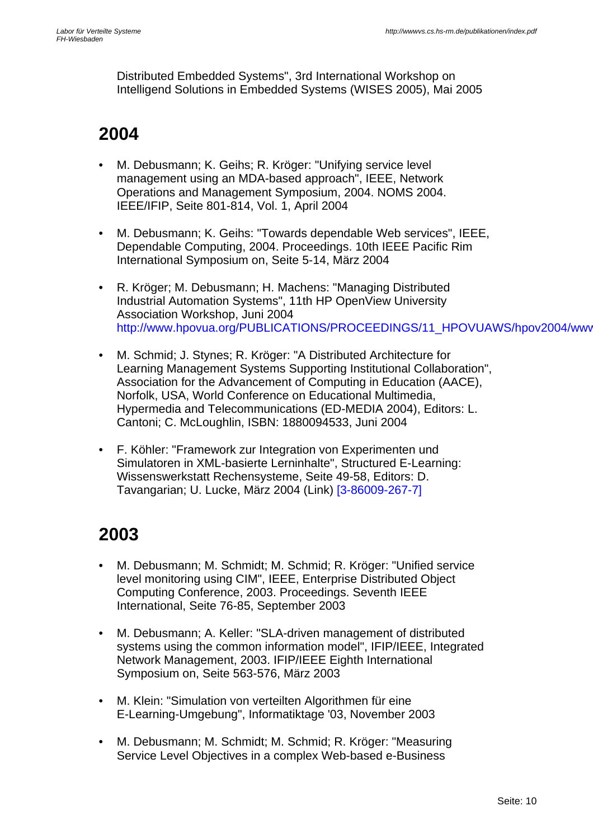Distributed Embedded Systems", 3rd International Workshop on Intelligend Solutions in Embedded Systems (WISES 2005), Mai 2005

#### **2004**

- M. Debusmann; K. Geihs; R. Kröger: "Unifying service level management using an MDA-based approach", IEEE, Network Operations and Management Symposium, 2004. NOMS 2004. IEEE/IFIP, Seite 801-814, Vol. 1, April 2004
- M. Debusmann; K. Geihs: "Towards dependable Web services", IEEE, Dependable Computing, 2004. Proceedings. 10th IEEE Pacific Rim International Symposium on, Seite 5-14, März 2004
- R. Kröger; M. Debusmann; H. Machens: "Managing Distributed Industrial Automation Systems", 11th HP OpenView University Association Workshop, Juni 2004 http://www.hpovua.org/PUBLICATIONS/PROCEEDINGS/11\_HPOVUAWS/hpov2004/wwv
- M. Schmid; J. Stynes; R. Kröger: "A Distributed Architecture for Learning Management Systems Supporting Institutional Collaboration", Association for the Advancement of Computing in Education (AACE), Norfolk, USA, World Conference on Educational Multimedia, Hypermedia and Telecommunications (ED-MEDIA 2004), Editors: L. Cantoni; C. McLoughlin, ISBN: 1880094533, Juni 2004
- F. Köhler: "Framework zur Integration von Experimenten und Simulatoren in XML-basierte Lerninhalte", Structured E-Learning: Wissenswerkstatt Rechensysteme, Seite 49-58, Editors: D. Tavangarian; U. Lucke, März 2004 (Link) [3-86009-267-7]

- M. Debusmann; M. Schmidt; M. Schmid; R. Kröger: "Unified service level monitoring using CIM", IEEE, Enterprise Distributed Object Computing Conference, 2003. Proceedings. Seventh IEEE International, Seite 76-85, September 2003
- M. Debusmann; A. Keller: "SLA-driven management of distributed systems using the common information model", IFIP/IEEE, Integrated Network Management, 2003. IFIP/IEEE Eighth International Symposium on, Seite 563-576, März 2003
- M. Klein: "Simulation von verteilten Algorithmen für eine E-Learning-Umgebung", Informatiktage '03, November 2003
- M. Debusmann; M. Schmidt; M. Schmid; R. Kröger: "Measuring Service Level Objectives in a complex Web-based e-Business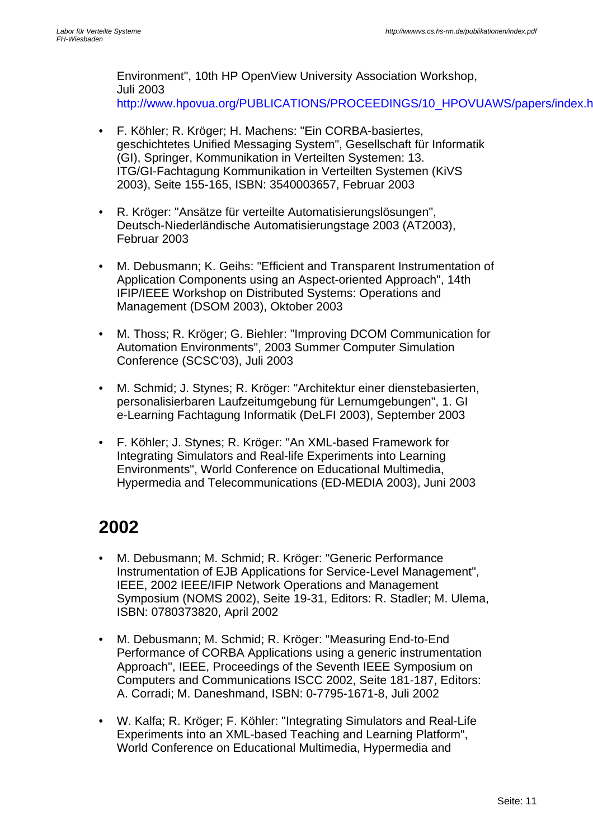Environment", 10th HP OpenView University Association Workshop, Juli 2003 http://www.hpovua.org/PUBLICATIONS/PROCEEDINGS/10\_HPOVUAWS/papers/index.html

- F. Köhler; R. Kröger; H. Machens: "Ein CORBA-basiertes, geschichtetes Unified Messaging System", Gesellschaft für Informatik (GI), Springer, Kommunikation in Verteilten Systemen: 13. ITG/GI-Fachtagung Kommunikation in Verteilten Systemen (KiVS 2003), Seite 155-165, ISBN: 3540003657, Februar 2003
- R. Kröger: "Ansätze für verteilte Automatisierungslösungen", Deutsch-Niederländische Automatisierungstage 2003 (AT2003), Februar 2003
- M. Debusmann; K. Geihs: "Efficient and Transparent Instrumentation of Application Components using an Aspect-oriented Approach", 14th IFIP/IEEE Workshop on Distributed Systems: Operations and Management (DSOM 2003), Oktober 2003
- M. Thoss; R. Kröger; G. Biehler: "Improving DCOM Communication for Automation Environments", 2003 Summer Computer Simulation Conference (SCSC'03), Juli 2003
- M. Schmid; J. Stynes; R. Kröger: "Architektur einer dienstebasierten, personalisierbaren Laufzeitumgebung für Lernumgebungen", 1. GI e-Learning Fachtagung Informatik (DeLFI 2003), September 2003
- F. Köhler; J. Stynes; R. Kröger: "An XML-based Framework for Integrating Simulators and Real-life Experiments into Learning Environments", World Conference on Educational Multimedia, Hypermedia and Telecommunications (ED-MEDIA 2003), Juni 2003

- M. Debusmann; M. Schmid; R. Kröger: "Generic Performance Instrumentation of EJB Applications for Service-Level Management", IEEE, 2002 IEEE/IFIP Network Operations and Management Symposium (NOMS 2002), Seite 19-31, Editors: R. Stadler; M. Ulema, ISBN: 0780373820, April 2002
- M. Debusmann; M. Schmid; R. Kröger: "Measuring End-to-End Performance of CORBA Applications using a generic instrumentation Approach", IEEE, Proceedings of the Seventh IEEE Symposium on Computers and Communications ISCC 2002, Seite 181-187, Editors: A. Corradi; M. Daneshmand, ISBN: 0-7795-1671-8, Juli 2002
- W. Kalfa; R. Kröger; F. Köhler: "Integrating Simulators and Real-Life Experiments into an XML-based Teaching and Learning Platform", World Conference on Educational Multimedia, Hypermedia and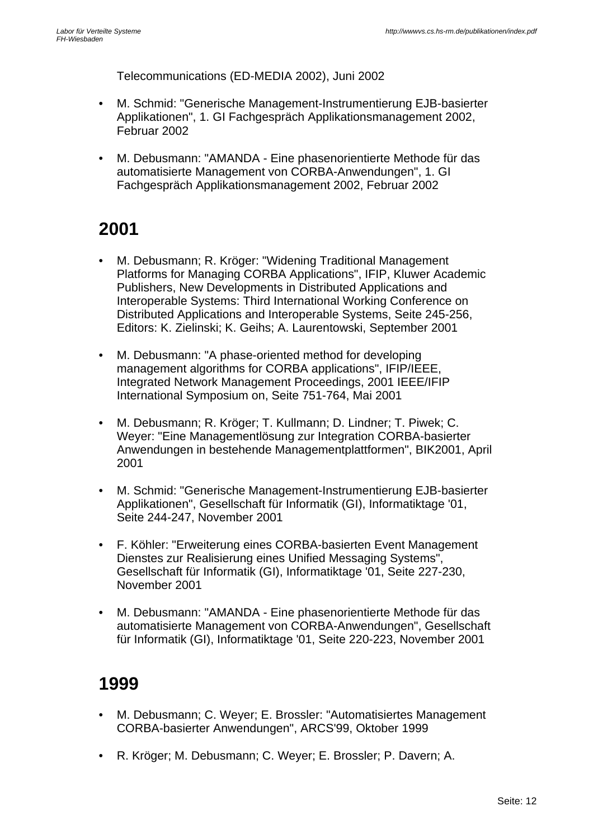Telecommunications (ED-MEDIA 2002), Juni 2002

- M. Schmid: "Generische Management-Instrumentierung EJB-basierter Applikationen", 1. GI Fachgespräch Applikationsmanagement 2002, Februar 2002
- M. Debusmann: "AMANDA Eine phasenorientierte Methode für das automatisierte Management von CORBA-Anwendungen", 1. GI Fachgespräch Applikationsmanagement 2002, Februar 2002

#### **2001**

- M. Debusmann; R. Kröger: "Widening Traditional Management Platforms for Managing CORBA Applications", IFIP, Kluwer Academic Publishers, New Developments in Distributed Applications and Interoperable Systems: Third International Working Conference on Distributed Applications and Interoperable Systems, Seite 245-256, Editors: K. Zielinski; K. Geihs; A. Laurentowski, September 2001
- M. Debusmann: "A phase-oriented method for developing management algorithms for CORBA applications", IFIP/IEEE, Integrated Network Management Proceedings, 2001 IEEE/IFIP International Symposium on, Seite 751-764, Mai 2001
- M. Debusmann; R. Kröger; T. Kullmann; D. Lindner; T. Piwek; C. Weyer: "Eine Managementlösung zur Integration CORBA-basierter Anwendungen in bestehende Managementplattformen", BIK2001, April 2001
- M. Schmid: "Generische Management-Instrumentierung EJB-basierter Applikationen", Gesellschaft für Informatik (GI), Informatiktage '01, Seite 244-247, November 2001
- F. Köhler: "Erweiterung eines CORBA-basierten Event Management Dienstes zur Realisierung eines Unified Messaging Systems", Gesellschaft für Informatik (GI), Informatiktage '01, Seite 227-230, November 2001
- M. Debusmann: "AMANDA Eine phasenorientierte Methode für das automatisierte Management von CORBA-Anwendungen", Gesellschaft für Informatik (GI), Informatiktage '01, Seite 220-223, November 2001

- M. Debusmann; C. Weyer; E. Brossler: "Automatisiertes Management CORBA-basierter Anwendungen", ARCS'99, Oktober 1999
- R. Kröger; M. Debusmann; C. Weyer; E. Brossler; P. Davern; A.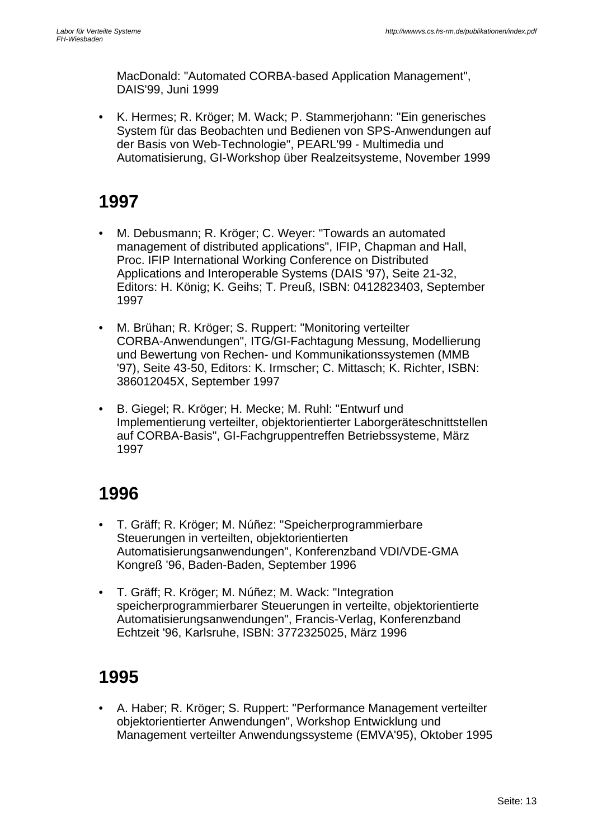MacDonald: "Automated CORBA-based Application Management", DAIS'99, Juni 1999

• K. Hermes; R. Kröger; M. Wack; P. Stammerjohann: "Ein generisches System für das Beobachten und Bedienen von SPS-Anwendungen auf der Basis von Web-Technologie", PEARL'99 - Multimedia und Automatisierung, GI-Workshop über Realzeitsysteme, November 1999

#### **1997**

- M. Debusmann; R. Kröger; C. Weyer: "Towards an automated management of distributed applications", IFIP, Chapman and Hall, Proc. IFIP International Working Conference on Distributed Applications and Interoperable Systems (DAIS '97), Seite 21-32, Editors: H. König; K. Geihs; T. Preuß, ISBN: 0412823403, September 1997
- M. Brühan; R. Kröger; S. Ruppert: "Monitoring verteilter CORBA-Anwendungen", ITG/GI-Fachtagung Messung, Modellierung und Bewertung von Rechen- und Kommunikationssystemen (MMB '97), Seite 43-50, Editors: K. Irmscher; C. Mittasch; K. Richter, ISBN: 386012045X, September 1997
- B. Giegel; R. Kröger; H. Mecke; M. Ruhl: "Entwurf und Implementierung verteilter, objektorientierter Laborgeräteschnittstellen auf CORBA-Basis", GI-Fachgruppentreffen Betriebssysteme, März 1997

#### **1996**

- T. Gräff; R. Kröger; M. Núñez: "Speicherprogrammierbare Steuerungen in verteilten, objektorientierten Automatisierungsanwendungen", Konferenzband VDI/VDE-GMA Kongreß '96, Baden-Baden, September 1996
- T. Gräff; R. Kröger; M. Núñez; M. Wack: "Integration speicherprogrammierbarer Steuerungen in verteilte, objektorientierte Automatisierungsanwendungen", Francis-Verlag, Konferenzband Echtzeit '96, Karlsruhe, ISBN: 3772325025, März 1996

### **1995**

• A. Haber; R. Kröger; S. Ruppert: "Performance Management verteilter objektorientierter Anwendungen", Workshop Entwicklung und Management verteilter Anwendungssysteme (EMVA'95), Oktober 1995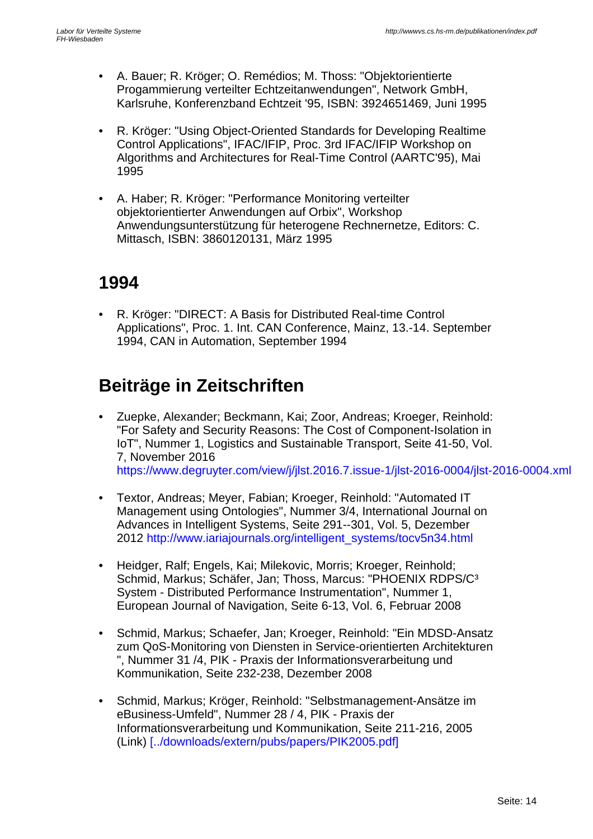- A. Bauer; R. Kröger; O. Remédios; M. Thoss: "Objektorientierte Progammierung verteilter Echtzeitanwendungen", Network GmbH, Karlsruhe, Konferenzband Echtzeit '95, ISBN: 3924651469, Juni 1995
- R. Kröger: "Using Object-Oriented Standards for Developing Realtime Control Applications", IFAC/IFIP, Proc. 3rd IFAC/IFIP Workshop on Algorithms and Architectures for Real-Time Control (AARTC'95), Mai 1995
- A. Haber; R. Kröger: "Performance Monitoring verteilter objektorientierter Anwendungen auf Orbix", Workshop Anwendungsunterstützung für heterogene Rechnernetze, Editors: C. Mittasch, ISBN: 3860120131, März 1995

### **1994**

• R. Kröger: "DIRECT: A Basis for Distributed Real-time Control Applications", Proc. 1. Int. CAN Conference, Mainz, 13.-14. September 1994, CAN in Automation, September 1994

### **Beiträge in Zeitschriften**

- Zuepke, Alexander; Beckmann, Kai; Zoor, Andreas; Kroeger, Reinhold: "For Safety and Security Reasons: The Cost of Component-Isolation in IoT", Nummer 1, Logistics and Sustainable Transport, Seite 41-50, Vol. 7, November 2016 https://www.degruyter.com/view/j/jlst.2016.7.issue-1/jlst-2016-0004/jlst-2016-0004.xml
- Textor, Andreas; Meyer, Fabian; Kroeger, Reinhold: "Automated IT Management using Ontologies", Nummer 3/4, International Journal on Advances in Intelligent Systems, Seite 291--301, Vol. 5, Dezember 2012 http://www.iariajournals.org/intelligent\_systems/tocv5n34.html
- Heidger, Ralf; Engels, Kai; Milekovic, Morris; Kroeger, Reinhold; Schmid, Markus; Schäfer, Jan; Thoss, Marcus: "PHOENIX RDPS/C³ System - Distributed Performance Instrumentation", Nummer 1, European Journal of Navigation, Seite 6-13, Vol. 6, Februar 2008
- Schmid, Markus; Schaefer, Jan; Kroeger, Reinhold: "Ein MDSD-Ansatz zum QoS-Monitoring von Diensten in Service-orientierten Architekturen ", Nummer 31 /4, PIK - Praxis der Informationsverarbeitung und Kommunikation, Seite 232-238, Dezember 2008
- Schmid, Markus; Kröger, Reinhold: "Selbstmanagement-Ansätze im eBusiness-Umfeld", Nummer 28 / 4, PIK - Praxis der Informationsverarbeitung und Kommunikation, Seite 211-216, 2005 (Link) [../downloads/extern/pubs/papers/PIK2005.pdf]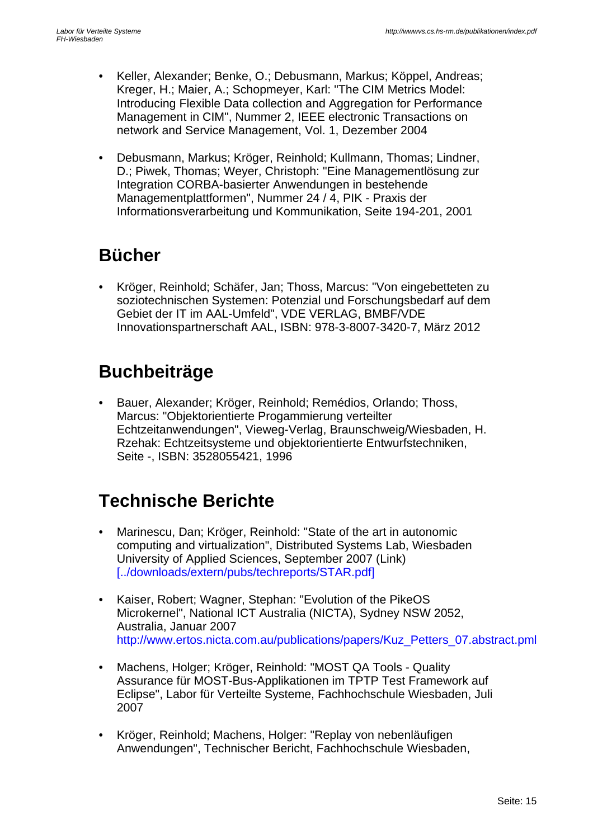- Keller, Alexander; Benke, O.; Debusmann, Markus; Köppel, Andreas; Kreger, H.; Maier, A.; Schopmeyer, Karl: "The CIM Metrics Model: Introducing Flexible Data collection and Aggregation for Performance Management in CIM", Nummer 2, IEEE electronic Transactions on network and Service Management, Vol. 1, Dezember 2004
- Debusmann, Markus; Kröger, Reinhold; Kullmann, Thomas; Lindner, D.; Piwek, Thomas; Weyer, Christoph: "Eine Managementlösung zur Integration CORBA-basierter Anwendungen in bestehende Managementplattformen", Nummer 24 / 4, PIK - Praxis der Informationsverarbeitung und Kommunikation, Seite 194-201, 2001

### **Bücher**

• Kröger, Reinhold; Schäfer, Jan; Thoss, Marcus: "Von eingebetteten zu soziotechnischen Systemen: Potenzial und Forschungsbedarf auf dem Gebiet der IT im AAL-Umfeld", VDE VERLAG, BMBF/VDE Innovationspartnerschaft AAL, ISBN: 978-3-8007-3420-7, März 2012

### **Buchbeiträge**

• Bauer, Alexander; Kröger, Reinhold; Remédios, Orlando; Thoss, Marcus: "Objektorientierte Progammierung verteilter Echtzeitanwendungen", Vieweg-Verlag, Braunschweig/Wiesbaden, H. Rzehak: Echtzeitsysteme und objektorientierte Entwurfstechniken, Seite -, ISBN: 3528055421, 1996

### **Technische Berichte**

- Marinescu, Dan; Kröger, Reinhold: "State of the art in autonomic computing and virtualization", Distributed Systems Lab, Wiesbaden University of Applied Sciences, September 2007 (Link) [../downloads/extern/pubs/techreports/STAR.pdf]
- Kaiser, Robert; Wagner, Stephan: "Evolution of the PikeOS Microkernel", National ICT Australia (NICTA), Sydney NSW 2052, Australia, Januar 2007 http://www.ertos.nicta.com.au/publications/papers/Kuz\_Petters\_07.abstract.pml
- Machens, Holger; Kröger, Reinhold: "MOST QA Tools Quality Assurance für MOST-Bus-Applikationen im TPTP Test Framework auf Eclipse", Labor für Verteilte Systeme, Fachhochschule Wiesbaden, Juli 2007
- Kröger, Reinhold; Machens, Holger: "Replay von nebenläufigen Anwendungen", Technischer Bericht, Fachhochschule Wiesbaden,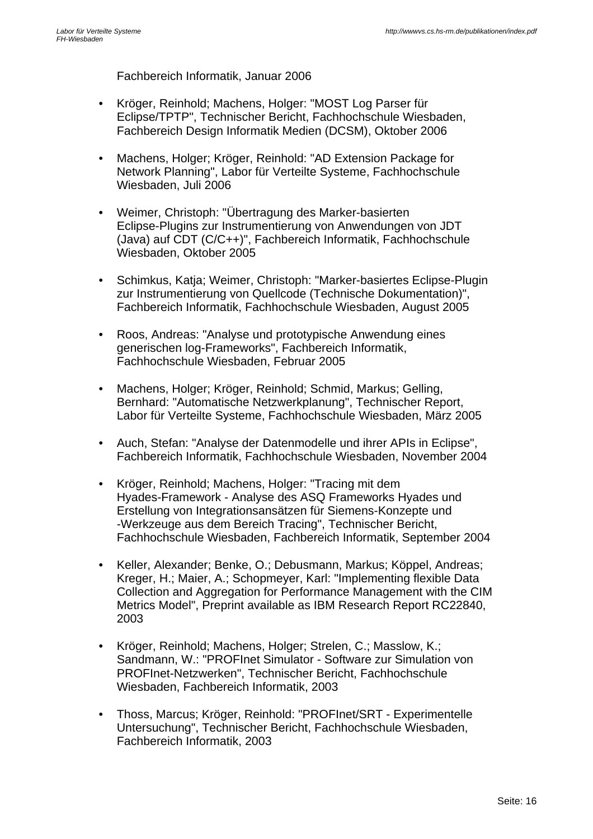Fachbereich Informatik, Januar 2006

- Kröger, Reinhold; Machens, Holger: "MOST Log Parser für Eclipse/TPTP", Technischer Bericht, Fachhochschule Wiesbaden, Fachbereich Design Informatik Medien (DCSM), Oktober 2006
- Machens, Holger; Kröger, Reinhold: "AD Extension Package for Network Planning", Labor für Verteilte Systeme, Fachhochschule Wiesbaden, Juli 2006
- Weimer, Christoph: "Übertragung des Marker-basierten Eclipse-Plugins zur Instrumentierung von Anwendungen von JDT (Java) auf CDT (C/C++)", Fachbereich Informatik, Fachhochschule Wiesbaden, Oktober 2005
- Schimkus, Katja; Weimer, Christoph: "Marker-basiertes Eclipse-Plugin zur Instrumentierung von Quellcode (Technische Dokumentation)", Fachbereich Informatik, Fachhochschule Wiesbaden, August 2005
- Roos, Andreas: "Analyse und prototypische Anwendung eines generischen log-Frameworks", Fachbereich Informatik, Fachhochschule Wiesbaden, Februar 2005
- Machens, Holger; Kröger, Reinhold; Schmid, Markus; Gelling, Bernhard: "Automatische Netzwerkplanung", Technischer Report, Labor für Verteilte Systeme, Fachhochschule Wiesbaden, März 2005
- Auch, Stefan: "Analyse der Datenmodelle und ihrer APIs in Eclipse", Fachbereich Informatik, Fachhochschule Wiesbaden, November 2004
- Kröger, Reinhold; Machens, Holger: "Tracing mit dem Hyades-Framework - Analyse des ASQ Frameworks Hyades und Erstellung von Integrationsansätzen für Siemens-Konzepte und -Werkzeuge aus dem Bereich Tracing", Technischer Bericht, Fachhochschule Wiesbaden, Fachbereich Informatik, September 2004
- Keller, Alexander; Benke, O.; Debusmann, Markus; Köppel, Andreas; Kreger, H.; Maier, A.; Schopmeyer, Karl: "Implementing flexible Data Collection and Aggregation for Performance Management with the CIM Metrics Model", Preprint available as IBM Research Report RC22840, 2003
- Kröger, Reinhold; Machens, Holger; Strelen, C.; Masslow, K.; Sandmann, W.: "PROFInet Simulator - Software zur Simulation von PROFInet-Netzwerken", Technischer Bericht, Fachhochschule Wiesbaden, Fachbereich Informatik, 2003
- Thoss, Marcus; Kröger, Reinhold: "PROFInet/SRT Experimentelle Untersuchung", Technischer Bericht, Fachhochschule Wiesbaden, Fachbereich Informatik, 2003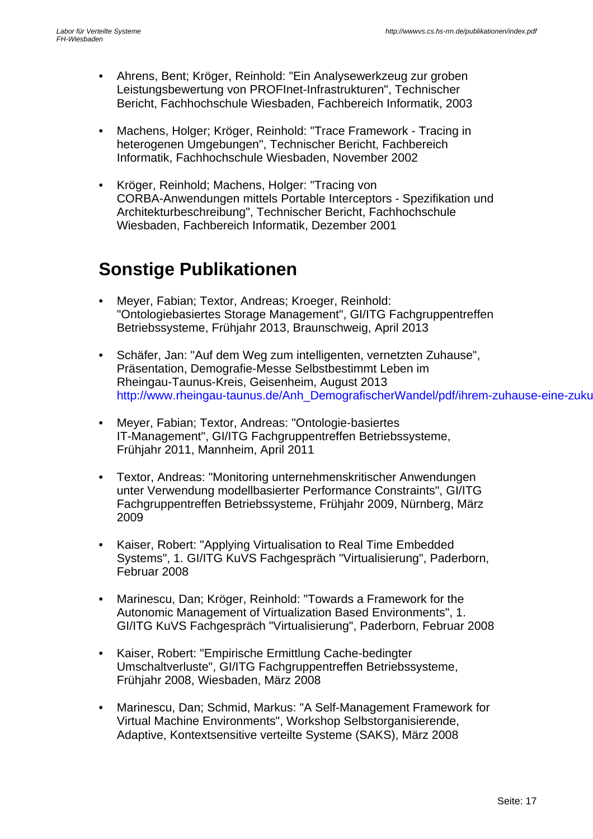- Ahrens, Bent; Kröger, Reinhold: "Ein Analysewerkzeug zur groben Leistungsbewertung von PROFInet-Infrastrukturen", Technischer Bericht, Fachhochschule Wiesbaden, Fachbereich Informatik, 2003
- Machens, Holger; Kröger, Reinhold: "Trace Framework Tracing in heterogenen Umgebungen", Technischer Bericht, Fachbereich Informatik, Fachhochschule Wiesbaden, November 2002
- Kröger, Reinhold; Machens, Holger: "Tracing von CORBA-Anwendungen mittels Portable Interceptors - Spezifikation und Architekturbeschreibung", Technischer Bericht, Fachhochschule Wiesbaden, Fachbereich Informatik, Dezember 2001

#### **Sonstige Publikationen**

- Meyer, Fabian; Textor, Andreas; Kroeger, Reinhold: "Ontologiebasiertes Storage Management", GI/ITG Fachgruppentreffen Betriebssysteme, Frühjahr 2013, Braunschweig, April 2013
- Schäfer, Jan: "Auf dem Weg zum intelligenten, vernetzten Zuhause", Präsentation, Demografie-Messe Selbstbestimmt Leben im Rheingau-Taunus-Kreis, Geisenheim, August 2013 http://www.rheingau-taunus.de/Anh\_DemografischerWandel/pdf/ihrem-zuhause-eine-zuku
- Meyer, Fabian; Textor, Andreas: "Ontologie-basiertes IT-Management", GI/ITG Fachgruppentreffen Betriebssysteme, Frühjahr 2011, Mannheim, April 2011
- Textor, Andreas: "Monitoring unternehmenskritischer Anwendungen unter Verwendung modellbasierter Performance Constraints", GI/ITG Fachgruppentreffen Betriebssysteme, Frühjahr 2009, Nürnberg, März 2009
- Kaiser, Robert: "Applying Virtualisation to Real Time Embedded Systems", 1. GI/ITG KuVS Fachgespräch "Virtualisierung", Paderborn, Februar 2008
- Marinescu, Dan; Kröger, Reinhold: "Towards a Framework for the Autonomic Management of Virtualization Based Environments", 1. GI/ITG KuVS Fachgespräch "Virtualisierung", Paderborn, Februar 2008
- Kaiser, Robert: "Empirische Ermittlung Cache-bedingter Umschaltverluste", GI/ITG Fachgruppentreffen Betriebssysteme, Frühjahr 2008, Wiesbaden, März 2008
- Marinescu, Dan; Schmid, Markus: "A Self-Management Framework for Virtual Machine Environments", Workshop Selbstorganisierende, Adaptive, Kontextsensitive verteilte Systeme (SAKS), März 2008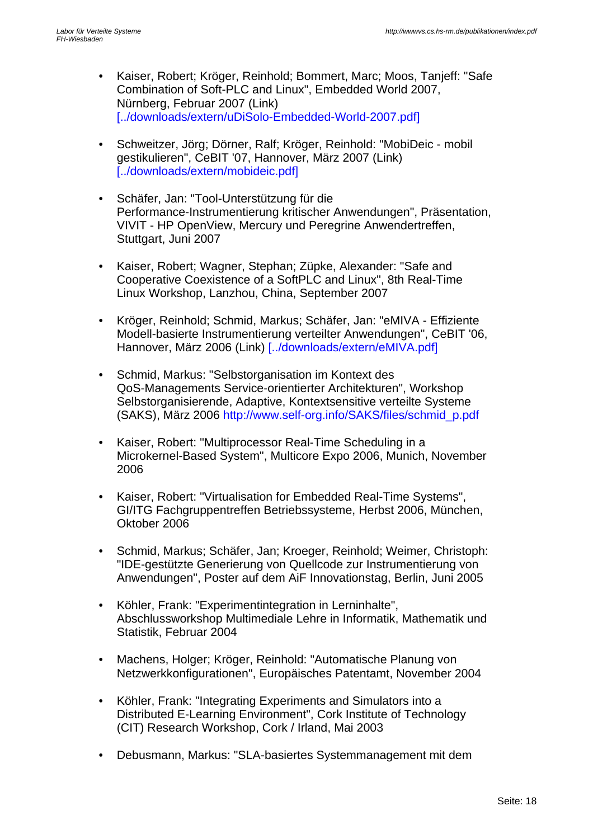- Kaiser, Robert; Kröger, Reinhold; Bommert, Marc; Moos, Tanjeff: "Safe Combination of Soft-PLC and Linux", Embedded World 2007, Nürnberg, Februar 2007 (Link) [../downloads/extern/uDiSolo-Embedded-World-2007.pdf]
- Schweitzer, Jörg; Dörner, Ralf; Kröger, Reinhold: "MobiDeic mobil gestikulieren", CeBIT '07, Hannover, März 2007 (Link) [../downloads/extern/mobideic.pdf]
- Schäfer, Jan: "Tool-Unterstützung für die Performance-Instrumentierung kritischer Anwendungen", Präsentation, VIVIT - HP OpenView, Mercury und Peregrine Anwendertreffen, Stuttgart, Juni 2007
- Kaiser, Robert; Wagner, Stephan; Züpke, Alexander: "Safe and Cooperative Coexistence of a SoftPLC and Linux", 8th Real-Time Linux Workshop, Lanzhou, China, September 2007
- Kröger, Reinhold; Schmid, Markus; Schäfer, Jan: "eMIVA Effiziente Modell-basierte Instrumentierung verteilter Anwendungen", CeBIT '06, Hannover, März 2006 (Link) [../downloads/extern/eMIVA.pdf]
- Schmid, Markus: "Selbstorganisation im Kontext des QoS-Managements Service-orientierter Architekturen", Workshop Selbstorganisierende, Adaptive, Kontextsensitive verteilte Systeme (SAKS), März 2006 http://www.self-org.info/SAKS/files/schmid\_p.pdf
- Kaiser, Robert: "Multiprocessor Real-Time Scheduling in a Microkernel-Based System", Multicore Expo 2006, Munich, November 2006
- Kaiser, Robert: "Virtualisation for Embedded Real-Time Systems", GI/ITG Fachgruppentreffen Betriebssysteme, Herbst 2006, München, Oktober 2006
- Schmid, Markus; Schäfer, Jan; Kroeger, Reinhold; Weimer, Christoph: "IDE-gestützte Generierung von Quellcode zur Instrumentierung von Anwendungen", Poster auf dem AiF Innovationstag, Berlin, Juni 2005
- Köhler, Frank: "Experimentintegration in Lerninhalte", Abschlussworkshop Multimediale Lehre in Informatik, Mathematik und Statistik, Februar 2004
- Machens, Holger; Kröger, Reinhold: "Automatische Planung von Netzwerkkonfigurationen", Europäisches Patentamt, November 2004
- Köhler, Frank: "Integrating Experiments and Simulators into a Distributed E-Learning Environment", Cork Institute of Technology (CIT) Research Workshop, Cork / Irland, Mai 2003
- Debusmann, Markus: "SLA-basiertes Systemmanagement mit dem